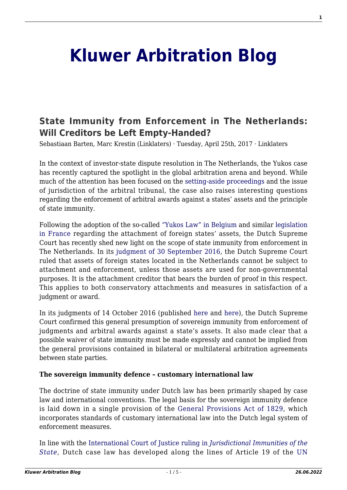# **[Kluwer Arbitration Blog](http://arbitrationblog.kluwerarbitration.com/)**

# **[State Immunity from Enforcement in The Netherlands:](http://arbitrationblog.kluwerarbitration.com/2017/04/25/state-immunity-from-enforcement-in-the-netherlands-will-creditors-be-left-empty-handed/) [Will Creditors be Left Empty-Handed?](http://arbitrationblog.kluwerarbitration.com/2017/04/25/state-immunity-from-enforcement-in-the-netherlands-will-creditors-be-left-empty-handed/)**

Sebastiaan Barten, Marc Krestin (Linklaters) · Tuesday, April 25th, 2017 · Linklaters

In the context of investor-state dispute resolution in The Netherlands, the Yukos case has recently captured the spotlight in the global arbitration arena and beyond. While much of the attention has been focused on the [setting-aside proceedings](http://kluwerarbitrationblog.com/2016/04/27/yukos-awards-set-aside-by-the-hague-district-court/) and the issue of jurisdiction of the arbitral tribunal, the case also raises interesting questions regarding the enforcement of arbitral awards against a states' assets and the principle of state immunity.

Following the adoption of the so-called ["Yukos Law" in Belgium](http://www.ejustice.just.fgov.be/cgi_loi/change_lg.pl?language=fr&la=F&cn=2015082313&table_name=loi) and similar [legislation](http://www.ejustice.just.fgov.be/cgi_loi/change_lg.pl?language=fr&la=F&cn=2015082313&table_name=loi) [in France r](http://www.ejustice.just.fgov.be/cgi_loi/change_lg.pl?language=fr&la=F&cn=2015082313&table_name=loi)egarding the attachment of foreign states' assets, the Dutch Supreme Court has recently shed new light on the scope of state immunity from enforcement in The Netherlands. In its [judgment of 30 September 2016](http://deeplink.rechtspraak.nl/uitspraak?id=ECLI:NL:HR:2016:2236), the Dutch Supreme Court ruled that assets of foreign states located in the Netherlands cannot be subject to attachment and enforcement, unless those assets are used for non-governmental purposes. It is the attachment creditor that bears the burden of proof in this respect. This applies to both conservatory attachments and measures in satisfaction of a judgment or award.

In its judgments of 14 October 2016 (published [here a](http://deeplink.rechtspraak.nl/uitspraak?id=ECLI:NL:HR:2016:2354)nd [here\)](http://deeplink.rechtspraak.nl/uitspraak?id=ECLI:NL:HR:2016:2371), the Dutch Supreme Court confirmed this general presumption of sovereign immunity from enforcement of judgments and arbitral awards against a state's assets. It also made clear that a possible waiver of state immunity must be made expressly and cannot be implied from the general provisions contained in bilateral or multilateral arbitration agreements between state parties.

#### **The sovereign immunity defence – customary international law**

The doctrine of state immunity under Dutch law has been primarily shaped by case law and international conventions. The legal basis for the sovereign immunity defence is laid down in a single provision of the [General Provisions Act of 1829](http://wetten.overheid.nl/BWBR0001833/2012-01-01), which incorporates standards of customary international law into the Dutch legal system of enforcement measures.

In line with the [International Court of Justice ruling in](http://www.icj-cij.org/docket/files/143/16883.pdf) *[Jurisdictional Immunities of the](http://www.icj-cij.org/docket/files/143/16883.pdf) [State](http://www.icj-cij.org/docket/files/143/16883.pdf)*, Dutch case law has developed along the lines of Article 19 of the [UN](https://treaties.un.org/doc/source/recenttexts/english_3_13.pdf)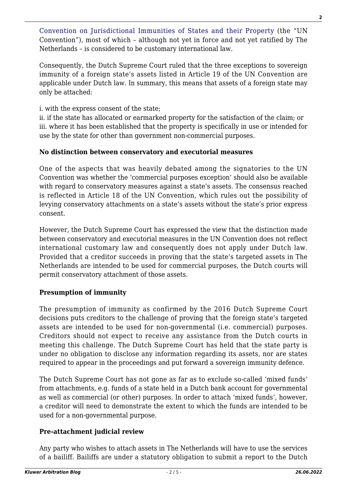[Convention on Jurisdictional Immunities of States and their Property](https://treaties.un.org/doc/source/recenttexts/english_3_13.pdf) (the "UN Convention"), most of which – although not yet in force and not yet ratified by The Netherlands – is considered to be customary international law.

Consequently, the Dutch Supreme Court ruled that the three exceptions to sovereign immunity of a foreign state's assets listed in Article 19 of the UN Convention are applicable under Dutch law. In summary, this means that assets of a foreign state may only be attached:

i. with the express consent of the state;

ii. if the state has allocated or earmarked property for the satisfaction of the claim; or iii. where it has been established that the property is specifically in use or intended for use by the state for other than government non-commercial purposes.

## **No distinction between conservatory and executorial measures**

One of the aspects that was heavily debated among the signatories to the UN Convention was whether the 'commercial purposes exception' should also be available with regard to conservatory measures against a state's assets. The consensus reached is reflected in Article 18 of the UN Convention, which rules out the possibility of levying conservatory attachments on a state's assets without the state's prior express consent.

However, the Dutch Supreme Court has expressed the view that the distinction made between conservatory and executorial measures in the UN Convention does not reflect international customary law and consequently does not apply under Dutch law. Provided that a creditor succeeds in proving that the state's targeted assets in The Netherlands are intended to be used for commercial purposes, the Dutch courts will permit conservatory attachment of those assets.

## **Presumption of immunity**

The presumption of immunity as confirmed by the 2016 Dutch Supreme Court decisions puts creditors to the challenge of proving that the foreign state's targeted assets are intended to be used for non-governmental (i.e. commercial) purposes. Creditors should not expect to receive any assistance from the Dutch courts in meeting this challenge. The Dutch Supreme Court has held that the state party is under no obligation to disclose any information regarding its assets, nor are states required to appear in the proceedings and put forward a sovereign immunity defence.

The Dutch Supreme Court has not gone as far as to exclude so-called 'mixed funds' from attachments, e.g. funds of a state held in a Dutch bank account for governmental as well as commercial (or other) purposes. In order to attach 'mixed funds', however, a creditor will need to demonstrate the extent to which the funds are intended to be used for a non-governmental purpose.

## **Pre-attachment judicial review**

Any party who wishes to attach assets in The Netherlands will have to use the services of a bailiff. Bailiffs are under a statutory obligation to submit a report to the Dutch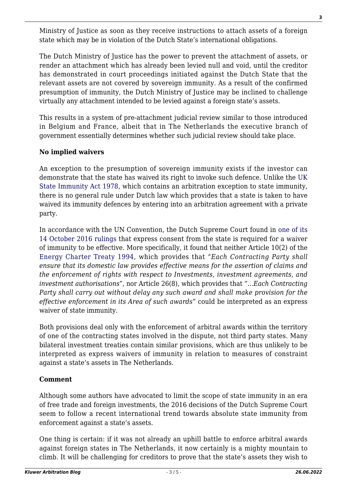Ministry of Justice as soon as they receive instructions to attach assets of a foreign state which may be in violation of the Dutch State's international obligations.

The Dutch Ministry of Justice has the power to prevent the attachment of assets, or render an attachment which has already been levied null and void, until the creditor has demonstrated in court proceedings initiated against the Dutch State that the relevant assets are not covered by sovereign immunity. As a result of the confirmed presumption of immunity, the Dutch Ministry of Justice may be inclined to challenge virtually any attachment intended to be levied against a foreign state's assets.

This results in a system of pre-attachment judicial review similar to those introduced in Belgium and France, albeit that in The Netherlands the executive branch of government essentially determines whether such judicial review should take place.

## **No implied waivers**

An exception to the presumption of sovereign immunity exists if the investor can demonstrate that the state has waived its right to invoke such defence. Unlike the [UK](http://www.legislation.gov.uk/ukpga/1978/33) [State Immunity Act 1978](http://www.legislation.gov.uk/ukpga/1978/33), which contains an arbitration exception to state immunity, there is no general rule under Dutch law which provides that a state is taken to have waived its immunity defences by entering into an arbitration agreement with a private party.

In accordance with the UN Convention, the Dutch Supreme Court found in [one of its](http://deeplink.rechtspraak.nl/uitspraak?id=ECLI:NL:HR:2016:2371) [14 October 2016 rulings](http://deeplink.rechtspraak.nl/uitspraak?id=ECLI:NL:HR:2016:2371) that express consent from the state is required for a waiver of immunity to be effective. More specifically, it found that neither Article 10(2) of the [Energy Charter Treaty 1994,](http://wetten.overheid.nl/BWBV0001155/2010-01-21) which provides that *"Each Contracting Party shall ensure that its domestic law provides effective means for the assertion of claims and the enforcement of rights with respect to Investments, investment agreements, and investment authorisations"*, nor Article 26(8), which provides that *"…Each Contracting Party shall carry out without delay any such award and shall make provision for the effective enforcement in its Area of such awards"* could be interpreted as an express waiver of state immunity.

Both provisions deal only with the enforcement of arbitral awards within the territory of one of the contracting states involved in the dispute, not third party states. Many bilateral investment treaties contain similar provisions, which are thus unlikely to be interpreted as express waivers of immunity in relation to measures of constraint against a state's assets in The Netherlands.

## **Comment**

Although some authors have advocated to limit the scope of state immunity in an era of free trade and foreign investments, the 2016 decisions of the Dutch Supreme Court seem to follow a recent international trend towards absolute state immunity from enforcement against a state's assets.

One thing is certain: if it was not already an uphill battle to enforce arbitral awards against foreign states in The Netherlands, it now certainly is a mighty mountain to climb. It will be challenging for creditors to prove that the state's assets they wish to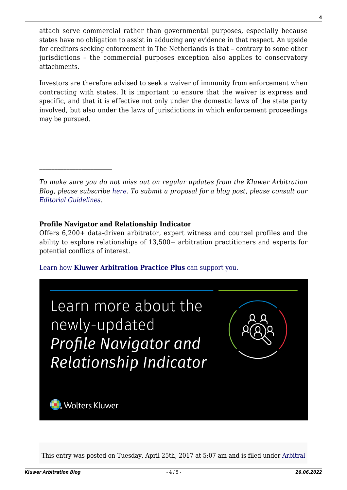attach serve commercial rather than governmental purposes, especially because states have no obligation to assist in adducing any evidence in that respect. An upside for creditors seeking enforcement in The Netherlands is that – contrary to some other jurisdictions – the commercial purposes exception also applies to conservatory attachments.

Investors are therefore advised to seek a waiver of immunity from enforcement when contracting with states. It is important to ensure that the waiver is express and specific, and that it is effective not only under the domestic laws of the state party involved, but also under the laws of jurisdictions in which enforcement proceedings may be pursued.

*To make sure you do not miss out on regular updates from the Kluwer Arbitration Blog, please subscribe [here](http://arbitrationblog.kluwerarbitration.com/newsletter/). To submit a proposal for a blog post, please consult our [Editorial Guidelines.](http://arbitrationblog.kluwerarbitration.com/editorial-guidelines/)*

#### **Profile Navigator and Relationship Indicator**

Offers 6,200+ data-driven arbitrator, expert witness and counsel profiles and the ability to explore relationships of 13,500+ arbitration practitioners and experts for potential conflicts of interest.

[Learn how](https://www.wolterskluwer.com/en/solutions/kluwerarbitration/practiceplus?utm_source=arbitrationblog&utm_medium=articleCTA&utm_campaign=article-banner) **[Kluwer Arbitration Practice Plus](https://www.wolterskluwer.com/en/solutions/kluwerarbitration/practiceplus?utm_source=arbitrationblog&utm_medium=articleCTA&utm_campaign=article-banner)** [can support you.](https://www.wolterskluwer.com/en/solutions/kluwerarbitration/practiceplus?utm_source=arbitrationblog&utm_medium=articleCTA&utm_campaign=article-banner)



This entry was posted on Tuesday, April 25th, 2017 at 5:07 am and is filed under [Arbitral](http://arbitrationblog.kluwerarbitration.com/category/arbitral-award/)